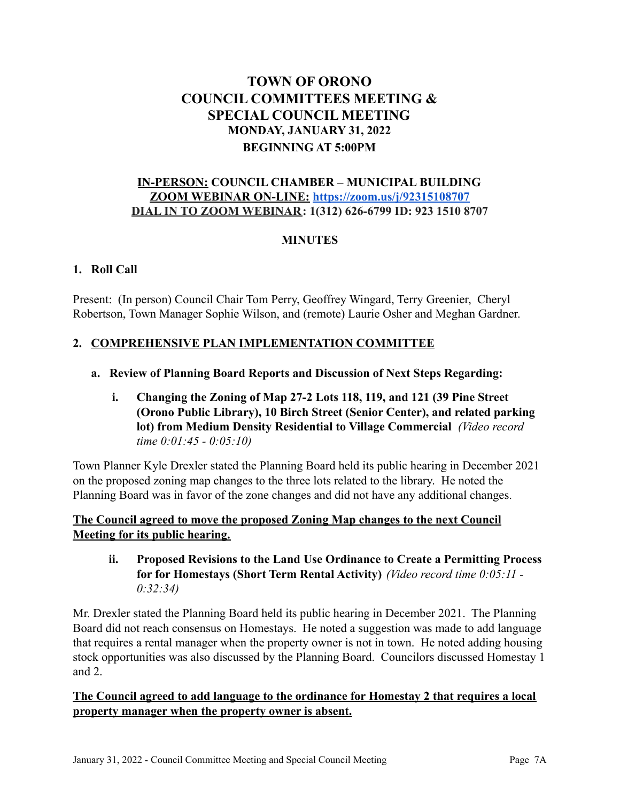# **TOWN OF ORONO COUNCIL COMMITTEES MEETING & SPECIAL COUNCIL MEETING MONDAY, JANUARY 31, 2022 BEGINNING AT 5:00PM**

## **IN-PERSON: COUNCIL CHAMBER – MUNICIPAL BUILDING ZOOM WEBINAR ON-LINE: <https://zoom.us/j/92315108707> DIAL IN TO ZOOM WEBINAR: 1(312) 626-6799 ID: 923 1510 8707**

## **MINUTES**

## **1. Roll Call**

Present: (In person) Council Chair Tom Perry, Geoffrey Wingard, Terry Greenier, Cheryl Robertson, Town Manager Sophie Wilson, and (remote) Laurie Osher and Meghan Gardner.

# **2. COMPREHENSIVE PLAN IMPLEMENTATION COMMITTEE**

#### **a. Review of Planning Board Reports and Discussion of Next Steps Regarding:**

**i. Changing the Zoning of Map 27-2 Lots 118, 119, and 121 (39 Pine Street (Orono Public Library), 10 Birch Street (Senior Center), and related parking lot) from Medium Density Residential to Village Commercial** *(Video record time 0:01:45 - 0:05:10)*

Town Planner Kyle Drexler stated the Planning Board held its public hearing in December 2021 on the proposed zoning map changes to the three lots related to the library. He noted the Planning Board was in favor of the zone changes and did not have any additional changes.

## **The Council agreed to move the proposed Zoning Map changes to the next Council Meeting for its public hearing.**

**ii. Proposed Revisions to the Land Use Ordinance to Create a Permitting Process for for Homestays (Short Term Rental Activity)** *(Video record time 0:05:11 - 0:32:34)*

Mr. Drexler stated the Planning Board held its public hearing in December 2021. The Planning Board did not reach consensus on Homestays. He noted a suggestion was made to add language that requires a rental manager when the property owner is not in town. He noted adding housing stock opportunities was also discussed by the Planning Board. Councilors discussed Homestay 1 and 2.

## **The Council agreed to add language to the ordinance for Homestay 2 that requires a local property manager when the property owner is absent.**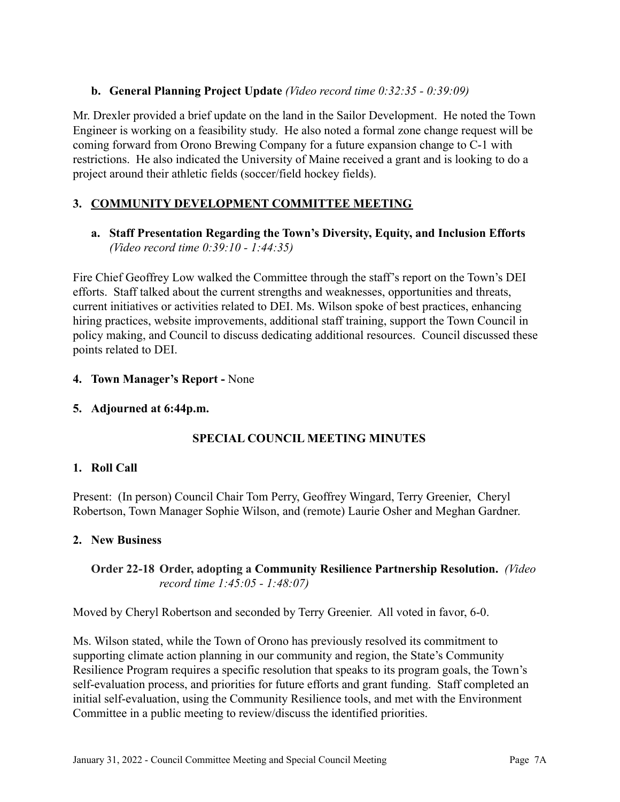## **b. General Planning Project Update** *(Video record time 0:32:35 - 0:39:09)*

Mr. Drexler provided a brief update on the land in the Sailor Development. He noted the Town Engineer is working on a feasibility study. He also noted a formal zone change request will be coming forward from Orono Brewing Company for a future expansion change to C-1 with restrictions. He also indicated the University of Maine received a grant and is looking to do a project around their athletic fields (soccer/field hockey fields).

# **3. COMMUNITY DEVELOPMENT COMMITTEE MEETING**

## **a. Staff Presentation Regarding the Town's Diversity, Equity, and Inclusion Efforts** *(Video record time 0:39:10 - 1:44:35)*

Fire Chief Geoffrey Low walked the Committee through the staff's report on the Town's DEI efforts. Staff talked about the current strengths and weaknesses, opportunities and threats, current initiatives or activities related to DEI. Ms. Wilson spoke of best practices, enhancing hiring practices, website improvements, additional staff training, support the Town Council in policy making, and Council to discuss dedicating additional resources. Council discussed these points related to DEI.

## **4. Town Manager's Report -** None

## **5. Adjourned at 6:44p.m.**

# **SPECIAL COUNCIL MEETING MINUTES**

## **1. Roll Call**

Present: (In person) Council Chair Tom Perry, Geoffrey Wingard, Terry Greenier, Cheryl Robertson, Town Manager Sophie Wilson, and (remote) Laurie Osher and Meghan Gardner.

## **2. New Business**

## **Order 22-18 Order, adopting a Community Resilience Partnership Resolution.** *(Video record time 1:45:05 - 1:48:07)*

Moved by Cheryl Robertson and seconded by Terry Greenier. All voted in favor, 6-0.

Ms. Wilson stated, while the Town of Orono has previously resolved its commitment to supporting climate action planning in our community and region, the State's Community Resilience Program requires a specific resolution that speaks to its program goals, the Town's self-evaluation process, and priorities for future efforts and grant funding. Staff completed an initial self-evaluation, using the Community Resilience tools, and met with the Environment Committee in a public meeting to review/discuss the identified priorities.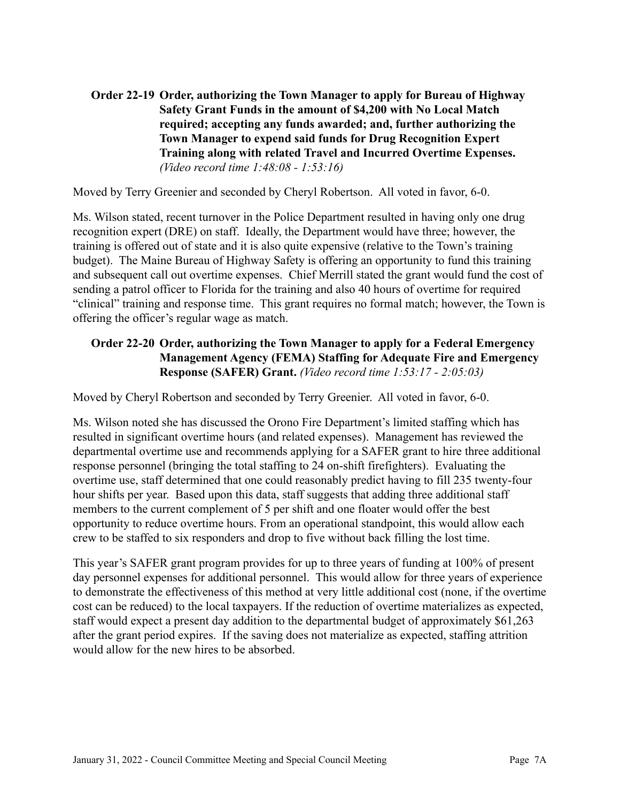**Order 22-19 Order, authorizing the Town Manager to apply for Bureau of Highway Safety Grant Funds in the amount of \$4,200 with No Local Match required; accepting any funds awarded; and, further authorizing the Town Manager to expend said funds for Drug Recognition Expert Training along with related Travel and Incurred Overtime Expenses.** *(Video record time 1:48:08 - 1:53:16)*

Moved by Terry Greenier and seconded by Cheryl Robertson. All voted in favor, 6-0.

Ms. Wilson stated, recent turnover in the Police Department resulted in having only one drug recognition expert (DRE) on staff. Ideally, the Department would have three; however, the training is offered out of state and it is also quite expensive (relative to the Town's training budget). The Maine Bureau of Highway Safety is offering an opportunity to fund this training and subsequent call out overtime expenses. Chief Merrill stated the grant would fund the cost of sending a patrol officer to Florida for the training and also 40 hours of overtime for required "clinical" training and response time. This grant requires no formal match; however, the Town is offering the officer's regular wage as match.

## **Order 22-20 Order, authorizing the Town Manager to apply for a Federal Emergency Management Agency (FEMA) Staffing for Adequate Fire and Emergency Response (SAFER) Grant.** *(Video record time 1:53:17 - 2:05:03)*

Moved by Cheryl Robertson and seconded by Terry Greenier. All voted in favor, 6-0.

Ms. Wilson noted she has discussed the Orono Fire Department's limited staffing which has resulted in significant overtime hours (and related expenses). Management has reviewed the departmental overtime use and recommends applying for a SAFER grant to hire three additional response personnel (bringing the total staffing to 24 on-shift firefighters). Evaluating the overtime use, staff determined that one could reasonably predict having to fill 235 twenty-four hour shifts per year. Based upon this data, staff suggests that adding three additional staff members to the current complement of 5 per shift and one floater would offer the best opportunity to reduce overtime hours. From an operational standpoint, this would allow each crew to be staffed to six responders and drop to five without back filling the lost time.

This year's SAFER grant program provides for up to three years of funding at 100% of present day personnel expenses for additional personnel. This would allow for three years of experience to demonstrate the effectiveness of this method at very little additional cost (none, if the overtime cost can be reduced) to the local taxpayers. If the reduction of overtime materializes as expected, staff would expect a present day addition to the departmental budget of approximately \$61,263 after the grant period expires. If the saving does not materialize as expected, staffing attrition would allow for the new hires to be absorbed.